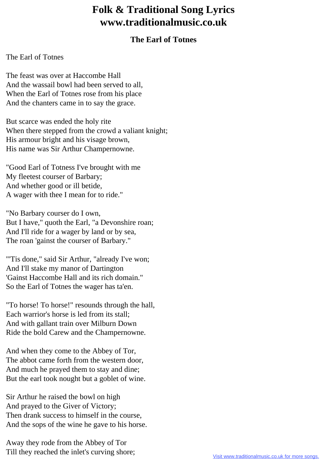## **Folk & Traditional Song Lyrics www.traditionalmusic.co.uk**

## **The Earl of Totnes**

## The Earl of Totnes

The feast was over at Haccombe Hall And the wassail bowl had been served to all, When the Earl of Totnes rose from his place And the chanters came in to say the grace.

But scarce was ended the holy rite When there stepped from the crowd a valiant knight; His armour bright and his visage brown, His name was Sir Arthur Champernowne.

"Good Earl of Totness I've brought with me My fleetest courser of Barbary; And whether good or ill betide, A wager with thee I mean for to ride."

"No Barbary courser do I own, But I have," quoth the Earl, "a Devonshire roan; And I'll ride for a wager by land or by sea, The roan 'gainst the courser of Barbary."

"'Tis done," said Sir Arthur, "already I've won; And I'll stake my manor of Dartington 'Gainst Haccombe Hall and its rich domain." So the Earl of Totnes the wager has ta'en.

"To horse! To horse!" resounds through the hall, Each warrior's horse is led from its stall; And with gallant train over Milburn Down Ride the bold Carew and the Champernowne.

And when they come to the Abbey of Tor, The abbot came forth from the western door, And much he prayed them to stay and dine; But the earl took nought but a goblet of wine.

Sir Arthur he raised the bowl on high And prayed to the Giver of Victory; Then drank success to himself in the course, And the sops of the wine he gave to his horse.

Away they rode from the Abbey of Tor Till they reached the inlet's curving shore;